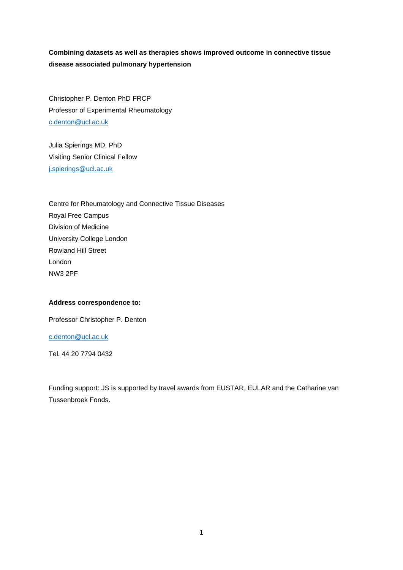# **Combining datasets as well as therapies shows improved outcome in connective tissue disease associated pulmonary hypertension**

Christopher P. Denton PhD FRCP Professor of Experimental Rheumatology [c.denton@ucl.ac.uk](mailto:c.denton@ucl.ac.uk)

Julia Spierings MD, PhD Visiting Senior Clinical Fellow [j.spierings@ucl.ac.uk](mailto:j.spierings@ucl.ac.uk)

Centre for Rheumatology and Connective Tissue Diseases Royal Free Campus Division of Medicine University College London Rowland Hill Street London NW3 2PF

#### **Address correspondence to:**

Professor Christopher P. Denton

## [c.denton@ucl.ac.uk](mailto:c.denton@ucl.ac.uk)

Tel. 44 20 7794 0432

Funding support: JS is supported by travel awards from EUSTAR, EULAR and the Catharine van Tussenbroek Fonds.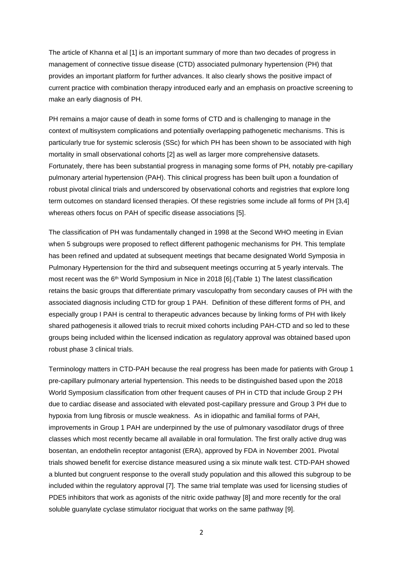The article of Khanna et al [1] is an important summary of more than two decades of progress in management of connective tissue disease (CTD) associated pulmonary hypertension (PH) that provides an important platform for further advances. It also clearly shows the positive impact of current practice with combination therapy introduced early and an emphasis on proactive screening to make an early diagnosis of PH.

PH remains a major cause of death in some forms of CTD and is challenging to manage in the context of multisystem complications and potentially overlapping pathogenetic mechanisms. This is particularly true for systemic sclerosis (SSc) for which PH has been shown to be associated with high mortality in small observational cohorts [2] as well as larger more comprehensive datasets. Fortunately, there has been substantial progress in managing some forms of PH, notably pre-capillary pulmonary arterial hypertension (PAH). This clinical progress has been built upon a foundation of robust pivotal clinical trials and underscored by observational cohorts and registries that explore long term outcomes on standard licensed therapies. Of these registries some include all forms of PH [3,4] whereas others focus on PAH of specific disease associations [5].

The classification of PH was fundamentally changed in 1998 at the Second WHO meeting in Evian when 5 subgroups were proposed to reflect different pathogenic mechanisms for PH. This template has been refined and updated at subsequent meetings that became designated World Symposia in Pulmonary Hypertension for the third and subsequent meetings occurring at 5 yearly intervals. The most recent was the  $6<sup>th</sup>$  World Symposium in Nice in 2018 [6]. (Table 1) The latest classification retains the basic groups that differentiate primary vasculopathy from secondary causes of PH with the associated diagnosis including CTD for group 1 PAH. Definition of these different forms of PH, and especially group I PAH is central to therapeutic advances because by linking forms of PH with likely shared pathogenesis it allowed trials to recruit mixed cohorts including PAH-CTD and so led to these groups being included within the licensed indication as regulatory approval was obtained based upon robust phase 3 clinical trials.

Terminology matters in CTD-PAH because the real progress has been made for patients with Group 1 pre-capillary pulmonary arterial hypertension. This needs to be distinguished based upon the 2018 World Symposium classification from other frequent causes of PH in CTD that include Group 2 PH due to cardiac disease and associated with elevated post-capillary pressure and Group 3 PH due to hypoxia from lung fibrosis or muscle weakness. As in idiopathic and familial forms of PAH, improvements in Group 1 PAH are underpinned by the use of pulmonary vasodilator drugs of three classes which most recently became all available in oral formulation. The first orally active drug was bosentan, an endothelin receptor antagonist (ERA), approved by FDA in November 2001. Pivotal trials showed benefit for exercise distance measured using a six minute walk test. CTD-PAH showed a blunted but congruent response to the overall study population and this allowed this subgroup to be included within the regulatory approval [7]. The same trial template was used for licensing studies of PDE5 inhibitors that work as agonists of the nitric oxide pathway [8] and more recently for the oral soluble guanylate cyclase stimulator riociguat that works on the same pathway [9].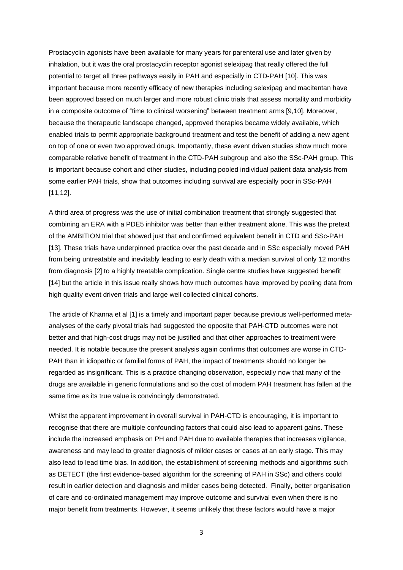Prostacyclin agonists have been available for many years for parenteral use and later given by inhalation, but it was the oral prostacyclin receptor agonist selexipag that really offered the full potential to target all three pathways easily in PAH and especially in CTD-PAH [10]. This was important because more recently efficacy of new therapies including selexipag and macitentan have been approved based on much larger and more robust clinic trials that assess mortality and morbidity in a composite outcome of "time to clinical worsening" between treatment arms [9,10]. Moreover, because the therapeutic landscape changed, approved therapies became widely available, which enabled trials to permit appropriate background treatment and test the benefit of adding a new agent on top of one or even two approved drugs. Importantly, these event driven studies show much more comparable relative benefit of treatment in the CTD-PAH subgroup and also the SSc-PAH group. This is important because cohort and other studies, including pooled individual patient data analysis from some earlier PAH trials, show that outcomes including survival are especially poor in SSc-PAH [11,12].

A third area of progress was the use of initial combination treatment that strongly suggested that combining an ERA with a PDE5 inhibitor was better than either treatment alone. This was the pretext of the AMBITION trial that showed just that and confirmed equivalent benefit in CTD and SSc-PAH [13]. These trials have underpinned practice over the past decade and in SSc especially moved PAH from being untreatable and inevitably leading to early death with a median survival of only 12 months from diagnosis [2] to a highly treatable complication. Single centre studies have suggested benefit [14] but the article in this issue really shows how much outcomes have improved by pooling data from high quality event driven trials and large well collected clinical cohorts.

The article of Khanna et al [1] is a timely and important paper because previous well-performed metaanalyses of the early pivotal trials had suggested the opposite that PAH-CTD outcomes were not better and that high-cost drugs may not be justified and that other approaches to treatment were needed. It is notable because the present analysis again confirms that outcomes are worse in CTD-PAH than in idiopathic or familial forms of PAH, the impact of treatments should no longer be regarded as insignificant. This is a practice changing observation, especially now that many of the drugs are available in generic formulations and so the cost of modern PAH treatment has fallen at the same time as its true value is convincingly demonstrated.

Whilst the apparent improvement in overall survival in PAH-CTD is encouraging, it is important to recognise that there are multiple confounding factors that could also lead to apparent gains. These include the increased emphasis on PH and PAH due to available therapies that increases vigilance, awareness and may lead to greater diagnosis of milder cases or cases at an early stage. This may also lead to lead time bias. In addition, the establishment of screening methods and algorithms such as DETECT (the first evidence-based algorithm for the screening of PAH in SSc) and others could result in earlier detection and diagnosis and milder cases being detected. Finally, better organisation of care and co-ordinated management may improve outcome and survival even when there is no major benefit from treatments. However, it seems unlikely that these factors would have a major

3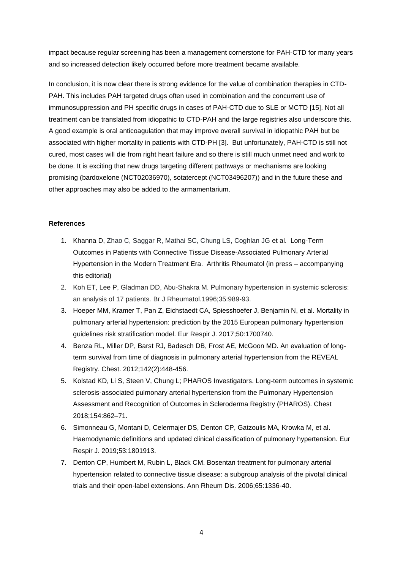impact because regular screening has been a management cornerstone for PAH-CTD for many years and so increased detection likely occurred before more treatment became available.

In conclusion, it is now clear there is strong evidence for the value of combination therapies in CTD-PAH. This includes PAH targeted drugs often used in combination and the concurrent use of immunosuppression and PH specific drugs in cases of PAH-CTD due to SLE or MCTD [15]. Not all treatment can be translated from idiopathic to CTD-PAH and the large registries also underscore this. A good example is oral anticoagulation that may improve overall survival in idiopathic PAH but be associated with higher mortality in patients with CTD-PH [3]. But unfortunately, PAH-CTD is still not cured, most cases will die from right heart failure and so there is still much unmet need and work to be done. It is exciting that new drugs targeting different pathways or mechanisms are looking promising (bardoxelone (NCT02036970), sotatercept (NCT03496207)) and in the future these and other approaches may also be added to the armamentarium.

#### **References**

- 1. Khanna D, Zhao C, Saggar R, Mathai SC, Chung LS, Coghlan JG et al. Long-Term Outcomes in Patients with Connective Tissue Disease-Associated Pulmonary Arterial Hypertension in the Modern Treatment Era. Arthritis Rheumatol (in press – accompanying this editorial)
- 2. Koh ET, Lee P, Gladman DD, Abu-Shakra M. Pulmonary hypertension in systemic sclerosis: an analysis of 17 patients. Br J Rheumatol.1996;35:989-93.
- 3. Hoeper MM, Kramer T, Pan Z, Eichstaedt CA, Spiesshoefer J, Benjamin N, et al. Mortality in pulmonary arterial hypertension: prediction by the 2015 European pulmonary hypertension guidelines risk stratification model. Eur Respir J. 2017;50:1700740.
- 4. Benza RL, Miller DP, Barst RJ, Badesch DB, Frost AE, McGoon MD. An evaluation of longterm survival from time of diagnosis in pulmonary arterial hypertension from the REVEAL Registry. Chest. 2012;142(2):448-456.
- 5. Kolstad KD, Li S, Steen V, Chung L; PHAROS Investigators. Long-term outcomes in systemic sclerosis-associated pulmonary arterial hypertension from the Pulmonary Hypertension Assessment and Recognition of Outcomes in Scleroderma Registry (PHAROS). Chest 2018;154:862–71.
- 6. Simonneau G, Montani D, Celermajer DS, Denton CP, Gatzoulis MA, Krowka M, et al. Haemodynamic definitions and updated clinical classification of pulmonary hypertension. Eur Respir J. 2019;53:1801913.
- 7. Denton CP, Humbert M, Rubin L, Black CM. Bosentan treatment for pulmonary arterial hypertension related to connective tissue disease: a subgroup analysis of the pivotal clinical trials and their open-label extensions. Ann Rheum Dis. 2006;65:1336-40.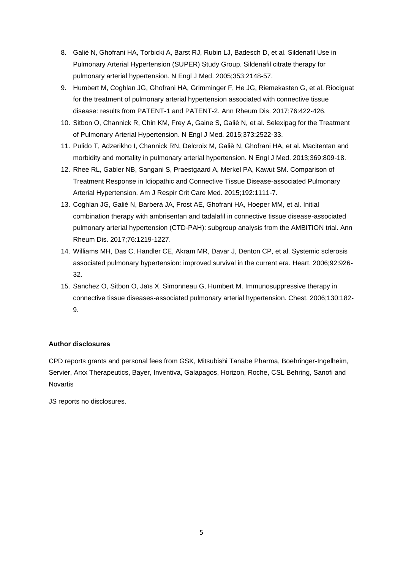- 8. Galiè N, Ghofrani HA, Torbicki A, Barst RJ, Rubin LJ, Badesch D, et al. Sildenafil Use in Pulmonary Arterial Hypertension (SUPER) Study Group. Sildenafil citrate therapy for pulmonary arterial hypertension. N Engl J Med. 2005;353:2148-57.
- 9. Humbert M, Coghlan JG, Ghofrani HA, Grimminger F, He JG, Riemekasten G, et al. Riociguat for the treatment of pulmonary arterial hypertension associated with connective tissue disease: results from PATENT-1 and PATENT-2. Ann Rheum Dis. 2017;76:422-426.
- 10. Sitbon O, Channick R, Chin KM, Frey A, Gaine S, Galiè N, et al. Selexipag for the Treatment of Pulmonary Arterial Hypertension. N Engl J Med. 2015;373:2522-33.
- 11. Pulido T, Adzerikho I, Channick RN, Delcroix M, Galiè N, Ghofrani HA, et al. Macitentan and morbidity and mortality in pulmonary arterial hypertension. N Engl J Med. 2013;369:809-18.
- 12. Rhee RL, Gabler NB, Sangani S, Praestgaard A, Merkel PA, Kawut SM. Comparison of Treatment Response in Idiopathic and Connective Tissue Disease-associated Pulmonary Arterial Hypertension. Am J Respir Crit Care Med. 2015;192:1111-7.
- 13. Coghlan JG, Galiè N, Barberà JA, Frost AE, Ghofrani HA, Hoeper MM, et al. Initial combination therapy with ambrisentan and tadalafil in connective tissue disease-associated pulmonary arterial hypertension (CTD-PAH): subgroup analysis from the AMBITION trial. Ann Rheum Dis. 2017;76:1219-1227.
- 14. Williams MH, Das C, Handler CE, Akram MR, Davar J, Denton CP, et al. Systemic sclerosis associated pulmonary hypertension: improved survival in the current era. Heart. 2006;92:926- 32.
- 15. Sanchez O, Sitbon O, Jaïs X, Simonneau G, Humbert M. Immunosuppressive therapy in connective tissue diseases-associated pulmonary arterial hypertension. Chest. 2006;130:182- 9.

# **Author disclosures**

CPD reports grants and personal fees from GSK, Mitsubishi Tanabe Pharma, Boehringer-Ingelheim, Servier, Arxx Therapeutics, Bayer, Inventiva, Galapagos, Horizon, Roche, CSL Behring, Sanofi and Novartis

JS reports no disclosures.